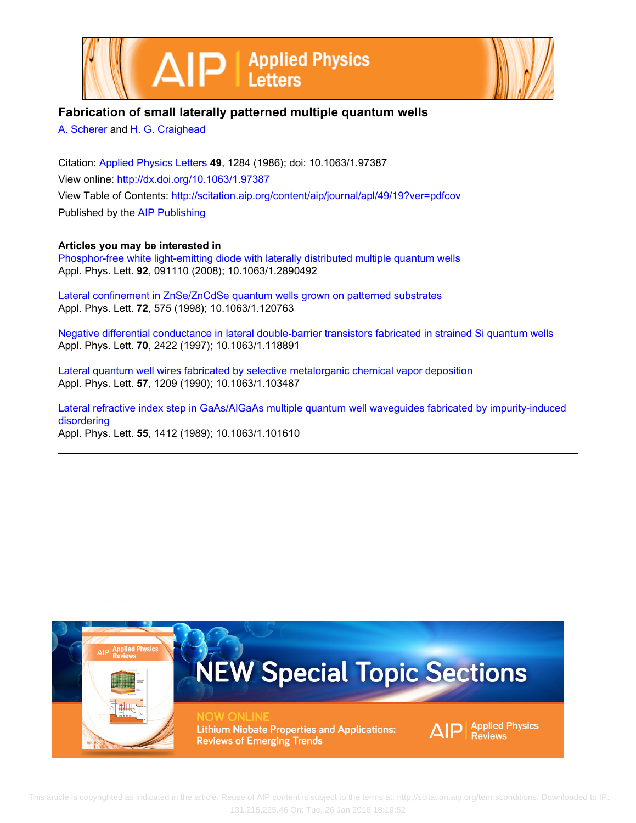



## **Fabrication of small laterally patterned multiple quantum wells**

[A. Scherer](http://scitation.aip.org/search?value1=A.+Scherer&option1=author) and [H. G. Craighead](http://scitation.aip.org/search?value1=H.+G.+Craighead&option1=author)

Citation: [Applied Physics Letters](http://scitation.aip.org/content/aip/journal/apl?ver=pdfcov) **49**, 1284 (1986); doi: 10.1063/1.97387 View online: <http://dx.doi.org/10.1063/1.97387> View Table of Contents: <http://scitation.aip.org/content/aip/journal/apl/49/19?ver=pdfcov> Published by the [AIP Publishing](http://scitation.aip.org/content/aip?ver=pdfcov)

**Articles you may be interested in**

[Phosphor-free white light-emitting diode with laterally distributed multiple quantum wells](http://scitation.aip.org/content/aip/journal/apl/92/9/10.1063/1.2890492?ver=pdfcov) Appl. Phys. Lett. **92**, 091110 (2008); 10.1063/1.2890492

[Lateral confinement in ZnSe/ZnCdSe quantum wells grown on patterned substrates](http://scitation.aip.org/content/aip/journal/apl/72/5/10.1063/1.120763?ver=pdfcov) Appl. Phys. Lett. **72**, 575 (1998); 10.1063/1.120763

[Negative differential conductance in lateral double-barrier transistors fabricated in strained Si quantum wells](http://scitation.aip.org/content/aip/journal/apl/70/18/10.1063/1.118891?ver=pdfcov) Appl. Phys. Lett. **70**, 2422 (1997); 10.1063/1.118891

[Lateral quantum well wires fabricated by selective metalorganic chemical vapor deposition](http://scitation.aip.org/content/aip/journal/apl/57/12/10.1063/1.103487?ver=pdfcov) Appl. Phys. Lett. **57**, 1209 (1990); 10.1063/1.103487

[Lateral refractive index step in GaAs/AlGaAs multiple quantum well waveguides fabricated by impurity‐induced](http://scitation.aip.org/content/aip/journal/apl/55/14/10.1063/1.101610?ver=pdfcov) [disordering](http://scitation.aip.org/content/aip/journal/apl/55/14/10.1063/1.101610?ver=pdfcov) Appl. Phys. Lett. **55**, 1412 (1989); 10.1063/1.101610



This article is copyrighted as indicated in the article. Reuse of AIP content is subject to the terms at: http://scitation.aip.org/termsconditions. Downloaded to IP: 131.215.225.46 On: Tue, 26 Jan 2016 18:19:52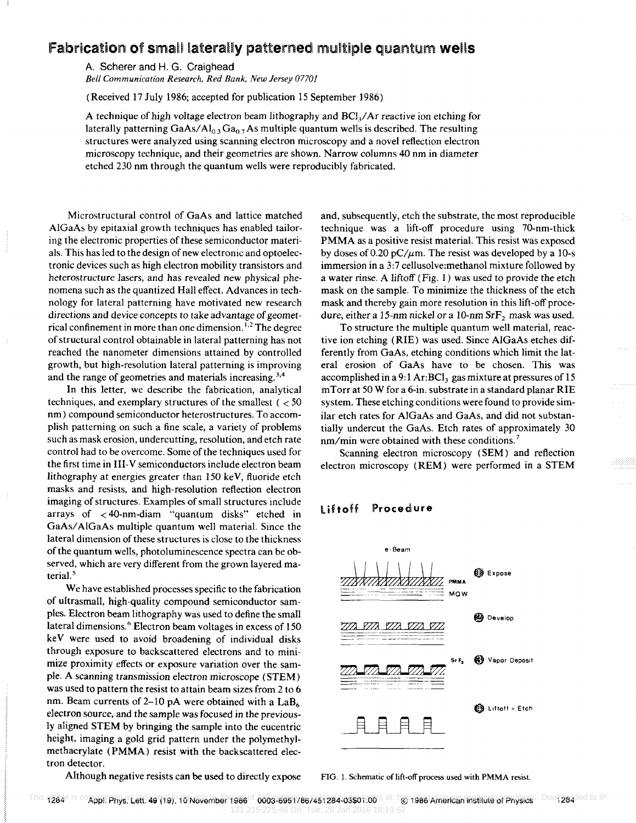## Fabrication of small laterally patterned multiple quantum wells

A. Scherer and H. G. Craighead *Bell Communication Research, Red Bank, New Jersey 07701* 

(Received 17 July 1986; accepted for publication 15 September 1986)

A technique of high voltage electron beam lithography and BCI,/ Ar reactive ion etching for laterally patterning  $GaAs/Al<sub>0.3</sub> Ga<sub>0.7</sub> As multiple quantum wells is described. The resulting$ structures were analyzed using scanning electron microscopy and a novel reflection electron microscopy technique, and their geometries are shown. Narrow columns 40 nm in diameter etched 230 nm through the quantum wells were reproducibly fabricated.

Microstructural control of GaAs and lattice matched AlGaAs by epitaxial growth techniques has enabled tailoring the electronic properties of these semiconductor materials. This has led to the design of new electronic and optoelectronic devices such as high electron mobility transistors and heterostructure lasers, and has revealed new physical phenomena such as the quantized Hall effect. Advances in technology for lateral patterning have motivated new research directions and device concepts to take advantage of geometrical confinement in more than one dimension. 1.2 The degree of structural control obtainable in lateral patterning has not reached the nanometer dimensions attained by controlled growth, but high-resolution lateral patterning is improving and the range of geometries and materials increasing.3.4

In this letter, we describe the fabrication, analytical techniques, and exemplary structures of the smallest ( $<$  50 nm) compound semiconductor heterostructures. To accomplish patterning on such a fine scale, a variety of problems such as mask erosion, undercutting, resolution, and etch rate control had to be overcome. Some of the techniques used for the first time in 111-V semiconductors include electron beam lithography at energies greater than 150 keY, fluoride etch masks and resists, and high-resolution reflection electron imaging of structures. Examples of small structures include arrays of < 4O-nm-diam "quantum disks" etched in GaAs/ AlGaAs multiple quantum well material. Since the lateral dimension of these structures is close to the thickness of the quantum wells, photoluminescence spectra can be observed, which are very different from the grown layered material.<sup>5</sup>

We have established processes specific to the fabrication of ultrasmall, high-quality compound semiconductor samples. Electron beam lithography was used to define the small lateral dimensions.<sup>6</sup> Electron beam voltages in excess of 150 keY were used to avoid broadening of individual disks through exposure to backscattered electrons and to minimize proximity effects or exposure variation over the sample. A scanning transmission electron microscope (STEM) was used to pattern the resist to attain beam sizes from 2 to 6 nm. Beam currents of 2-10 pA were obtained with a  $LaB<sub>6</sub>$ electron source, and the sample was focused in the previously aligned STEM by bringing the sample into the eucentric height, imaging a gold grid pattern under the polymethylmethacrylate (PMMA) resist with the backscattered electron detector.

Although negative resists can be used to directly expose

and, subsequently, etch the substrate, the most reproducible technique was a lift-off procedure using 70-nm-thick PMMA as a positive resist material. This resist was exposed by doses of 0.20 pC/ $\mu$ m. The resist was developed by a 10-s immersion in a 3:7 cellusolve:methanol mixture followed by a water rinse. A liftoff (Fig. 1) was used to provide the etch mask on the sample. To minimize the thickness of the etch mask and thereby gain more resolution in this lift-off procedure, either a 15-nm nickel or a 10-nm SrF<sub>2</sub> mask was used.

To structure the multiple quantum well material, reactive ion etching (RIE) was used. Since AlGaAs etches differently from GaAs, etching conditions which limit the lateral erosion of GaAs have to be chosen. This was accomplished in a 9:1 Ar:BCl<sub>3</sub> gas mixture at pressures of 15 mTorr at 50 W for a 6-in. substrate in a standard planar RIE system. These etching conditions were found to provide similar etch rates for AlGaAs and GaAs, and did not substantially undercut the GaAs. Etch rates of approximately 30 nm/min were obtained with these conditions.<sup>7</sup>

Scanning electron microscopy (SEM) and reflection electron microscopy (REM) were performed in a STEM

## liftoff **Proced ure**



FIG. 1. Schematic of lift-off process used with PMMA resist.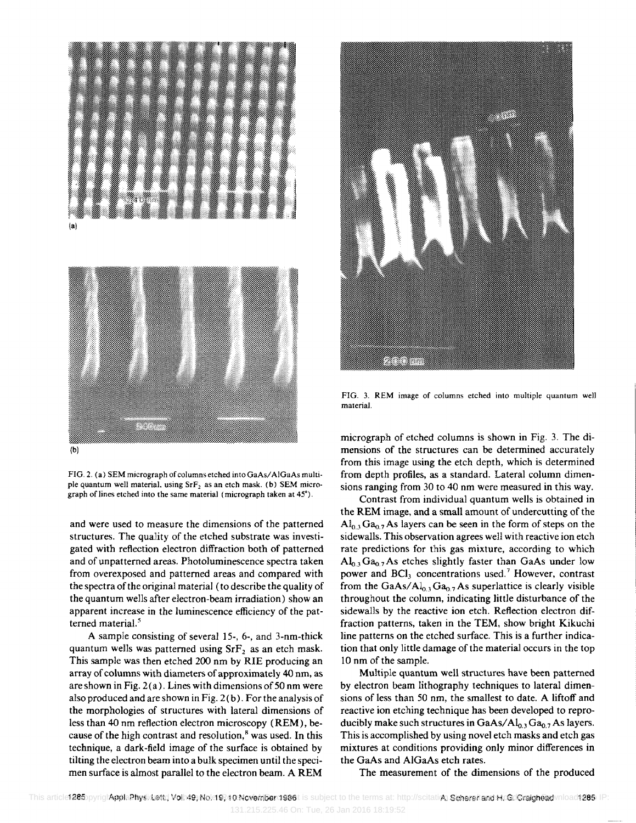

FIG. 2. (a) SEM micrograph of columns etched into GaAs/ AIGaAs multiple quantum well material, using  $SrF<sub>2</sub>$  as an etch mask. (b) SEM micrograph of lines etched into the same material (micrograph taken at 45°).

and were used to measure the dimensions of the patterned structures. The quality of the etched substrate was investigated with reflection electron diffraction both of patterned and of unpatterned areas. Photoluminescence spectra taken from overexposed and patterned areas and compared with the spectra of the original material (to describe the quality of the quantum wells after electron-beam irradiation) show an apparent increase in the luminescence efficiency of the patterned material.<sup>5</sup>

A sample consisting of several 15-, 6-, and 3-nm-thick quantum wells was patterned using  $SrF<sub>2</sub>$  as an etch mask. This sample was then etched 200 nm by RIE producing an array of columns with diameters of approximately 40 nm, as are shown in Fig. 2 (a). Lines with dimensions of 50 nm were also produced and are shown in Fig. 2(b). For the analysis of the morphologies of structures with lateral dimensions of less than 40 nm reflection electron microscopy (REM), because of the high contrast and resolution, $<sup>8</sup>$  was used. In this</sup> technique, a dark-field image of the surface is obtained by tilting the electron beam into a bulk specimen until the specimen surface is almost parallel to the electron beam. A REM



FIG. 3. REM image of columns etched into multiple quantum well material.

micrograph of etched columns is shown in Fig. 3. The dimensions of the structures can be determined accurately from this image using the etch depth, which is determined from depth profiles, as a standard. Lateral column dimensions ranging from 30 to 40 nm were measured in this way.

Contrast from individual quantum wells is obtained in the REM image, and a small amount of undercutting of the  $Al_{0.3} Ga_{0.7} As$  layers can be seen in the form of steps on the sidewalls. This observation agrees well with reactive ion etch rate predictions for this gas mixture, according to which  $Al<sub>0.3</sub> Ga<sub>0.7</sub> As etches slightly faster than GaAs under low$ power and BCl<sub>3</sub> concentrations used.<sup>7</sup> However, contrast from the  $GaAs/Al<sub>0.3</sub> Ga<sub>0.7</sub> As superlattice is clearly visible$ throughout the column, indicating little disturbance of the sidewalls by the reactive ion etch. Reflection electron diffraction patterns, taken in the TEM, show bright Kikuchi line patterns on the etched surface. This is a further indication that only little damage of the material occurs in the top 10 nm of the sample.

Multiple quantum well structures have been patterned by electron beam lithography techniques to lateral dimensions of less than 50 nm, the smallest to date. A liftoff and reactive ion etching technique has been developed to reproducibly make such structures in GaAs/Al<sub>0.3</sub> Ga<sub>0.7</sub> As layers. This is accomplished by using novel etch masks and etch gas mixtures at conditions providing only minor differences in the GaAs and AIGaAs etch rates.

The measurement of the dimensions of the produced